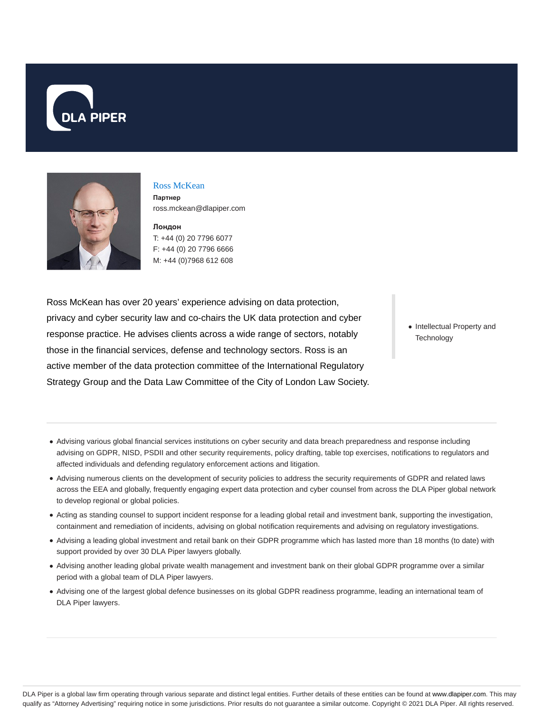



# Ross McKean

**Партнер** ross.mckean@dlapiper.com

**Лондон** T: +44 (0) 20 7796 6077 F: +44 (0) 20 7796 6666 M: +44 (0)7968 612 608

Ross McKean has over 20 years' experience advising on data protection, privacy and cyber security law and co-chairs the UK data protection and cyber response practice. He advises clients across a wide range of sectors, notably those in the financial services, defense and technology sectors. Ross is an active member of the data protection committee of the International Regulatory Strategy Group and the Data Law Committee of the City of London Law Society.

• Intellectual Property and **Technology** 

- Advising various global financial services institutions on cyber security and data breach preparedness and response including advising on GDPR, NISD, PSDII and other security requirements, policy drafting, table top exercises, notifications to regulators and affected individuals and defending regulatory enforcement actions and litigation.
- Advising numerous clients on the development of security policies to address the security requirements of GDPR and related laws across the EEA and globally, frequently engaging expert data protection and cyber counsel from across the DLA Piper global network to develop regional or global policies.
- Acting as standing counsel to support incident response for a leading global retail and investment bank, supporting the investigation, containment and remediation of incidents, advising on global notification requirements and advising on regulatory investigations.
- Advising a leading global investment and retail bank on their GDPR programme which has lasted more than 18 months (to date) with support provided by over 30 DLA Piper lawyers globally.
- Advising another leading global private wealth management and investment bank on their global GDPR programme over a similar period with a global team of DLA Piper lawyers.
- Advising one of the largest global defence businesses on its global GDPR readiness programme, leading an international team of DLA Piper lawyers.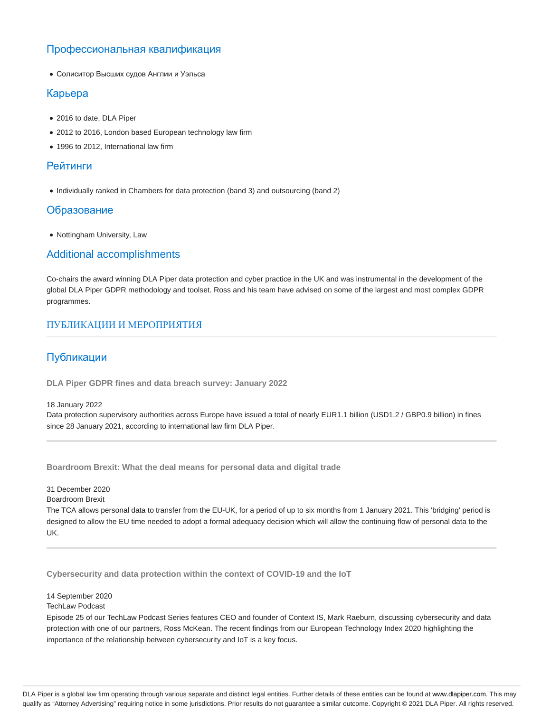# Профессиональная квалификация

Солиситор Высших судов Англии и Уэльса

#### Карьера

- 2016 to date, DLA Piper
- 2012 to 2016, London based European technology law firm
- 1996 to 2012, International law firm

#### Рейтинги

• Individually ranked in Chambers for data protection (band 3) and outsourcing (band 2)

#### Образование

• Nottingham University, Law

## Additional accomplishments

Co-chairs the award winning DLA Piper data protection and cyber practice in the UK and was instrumental in the development of the global DLA Piper GDPR methodology and toolset. Ross and his team have advised on some of the largest and most complex GDPR programmes.

### ПУБЛИКАЦИИ И МЕРОПРИЯТИЯ

### Публикации

**DLA Piper GDPR fines and data breach survey: January 2022**

18 January 2022

Data protection supervisory authorities across Europe have issued a total of nearly EUR1.1 billion (USD1.2 / GBP0.9 billion) in fines since 28 January 2021, according to international law firm DLA Piper.

**Boardroom Brexit: What the deal means for personal data and digital trade**

#### 31 December 2020

Boardroom Brexit

The TCA allows personal data to transfer from the EU-UK, for a period of up to six months from 1 January 2021. This 'bridging' period is designed to allow the EU time needed to adopt a formal adequacy decision which will allow the continuing flow of personal data to the UK.

**Cybersecurity and data protection within the context of COVID-19 and the IoT**

14 September 2020

#### TechLaw Podcast

Episode 25 of our TechLaw Podcast Series features CEO and founder of Context IS, Mark Raeburn, discussing cybersecurity and data protection with one of our partners, Ross McKean. The recent findings from our European Technology Index 2020 highlighting the importance of the relationship between cybersecurity and IoT is a key focus.